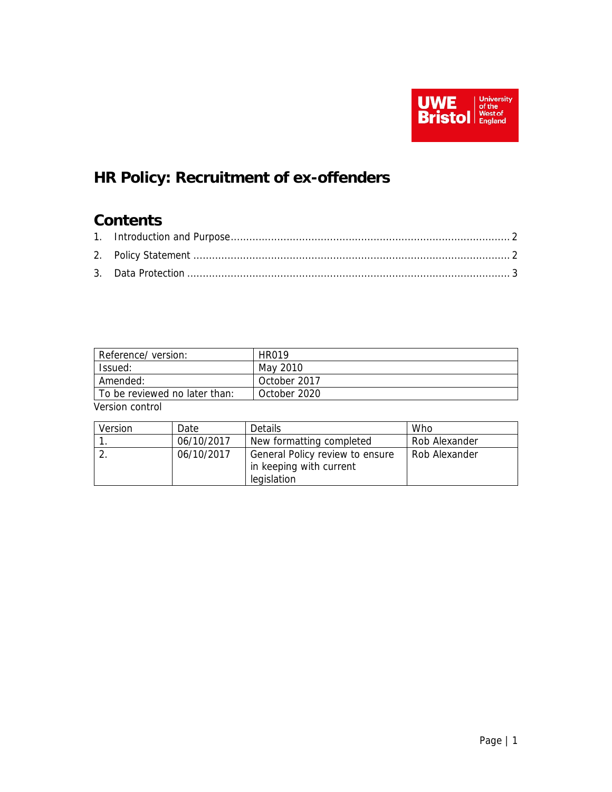

# **HR Policy: Recruitment of ex-offenders**

## **Contents**

| Reference/version:            | HR019        |  |  |  |
|-------------------------------|--------------|--|--|--|
| Issued:                       | May 2010     |  |  |  |
| Amended:                      | October 2017 |  |  |  |
| To be reviewed no later than: | October 2020 |  |  |  |
| المعطمية ومجاوفها             |              |  |  |  |

Version control

| Version | Date       | Details                                                                   | Who           |
|---------|------------|---------------------------------------------------------------------------|---------------|
|         | 06/10/2017 | New formatting completed                                                  | Rob Alexander |
|         | 06/10/2017 | General Policy review to ensure<br>in keeping with current<br>legislation | Rob Alexander |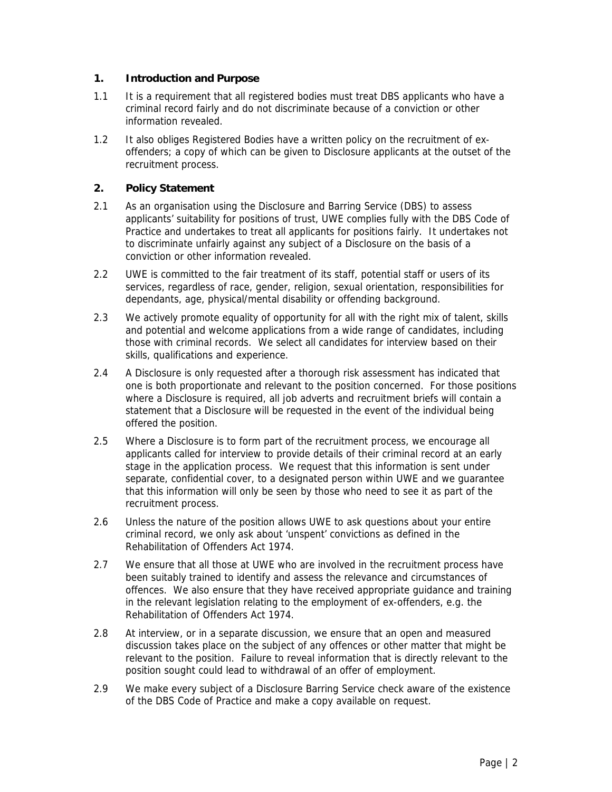### **1. Introduction and Purpose**

- 1.1 It is a requirement that all registered bodies must treat DBS applicants who have a criminal record fairly and do not discriminate because of a conviction or other information revealed.
- 1.2 It also obliges Registered Bodies have a written policy on the recruitment of exoffenders; a copy of which can be given to Disclosure applicants at the outset of the recruitment process.

#### **2. Policy Statement**

- 2.1 As an organisation using the Disclosure and Barring Service (DBS) to assess applicants' suitability for positions of trust, UWE complies fully with the DBS Code of Practice and undertakes to treat all applicants for positions fairly. It undertakes not to discriminate unfairly against any subject of a Disclosure on the basis of a conviction or other information revealed.
- 2.2 UWE is committed to the fair treatment of its staff, potential staff or users of its services, regardless of race, gender, religion, sexual orientation, responsibilities for dependants, age, physical/mental disability or offending background.
- 2.3 We actively promote equality of opportunity for all with the right mix of talent, skills and potential and welcome applications from a wide range of candidates, including those with criminal records. We select all candidates for interview based on their skills, qualifications and experience.
- 2.4 A Disclosure is only requested after a thorough risk assessment has indicated that one is both proportionate and relevant to the position concerned. For those positions where a Disclosure is required, all job adverts and recruitment briefs will contain a statement that a Disclosure will be requested in the event of the individual being offered the position.
- 2.5 Where a Disclosure is to form part of the recruitment process, we encourage all applicants called for interview to provide details of their criminal record at an early stage in the application process. We request that this information is sent under separate, confidential cover, to a designated person within UWE and we guarantee that this information will only be seen by those who need to see it as part of the recruitment process.
- 2.6 Unless the nature of the position allows UWE to ask questions about your entire criminal record, we only ask about 'unspent' convictions as defined in the Rehabilitation of Offenders Act 1974.
- 2.7 We ensure that all those at UWE who are involved in the recruitment process have been suitably trained to identify and assess the relevance and circumstances of offences. We also ensure that they have received appropriate guidance and training in the relevant legislation relating to the employment of ex-offenders, e.g. the Rehabilitation of Offenders Act 1974.
- 2.8 At interview, or in a separate discussion, we ensure that an open and measured discussion takes place on the subject of any offences or other matter that might be relevant to the position. Failure to reveal information that is directly relevant to the position sought could lead to withdrawal of an offer of employment.
- 2.9 We make every subject of a Disclosure Barring Service check aware of the existence of the DBS Code of Practice and make a copy available on request.